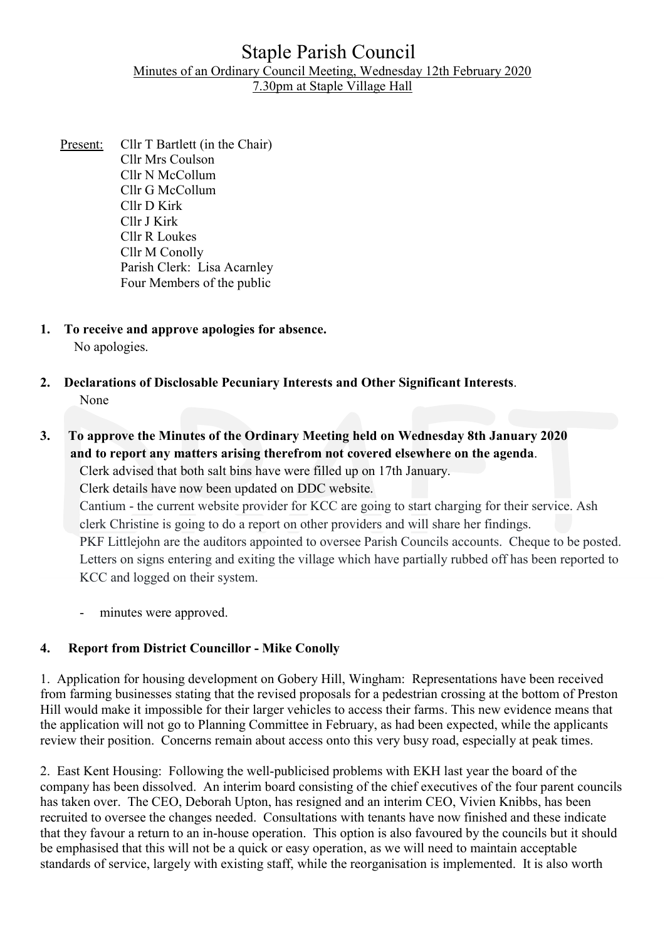# Staple Parish Council Minutes of an Ordinary Council Meeting, Wednesday 12th February 2020 7.30pm at Staple Village Hall

- Present: Cllr T Bartlett (in the Chair) Cllr Mrs Coulson Cllr N McCollum Cllr G McCollum Cllr D Kirk Cllr J Kirk Cllr R Loukes Cllr M Conolly Parish Clerk: Lisa Acarnley Four Members of the public
- 1. To receive and approve apologies for absence. No apologies.
- 2. Declarations of Disclosable Pecuniary Interests and Other Significant Interests. None

# 3. To approve the Minutes of the Ordinary Meeting held on Wednesday 8th January 2020 and to report any matters arising therefrom not covered elsewhere on the agenda.

Clerk advised that both salt bins have were filled up on 17th January.

Clerk details have now been updated on DDC website.

Cantium - the current website provider for KCC are going to start charging for their service. Ash clerk Christine is going to do a report on other providers and will share her findings.

PKF Littlejohn are the auditors appointed to oversee Parish Councils accounts. Cheque to be posted. Letters on signs entering and exiting the village which have partially rubbed off has been reported to KCC and logged on their system.

minutes were approved.

# 4. Report from District Councillor - Mike Conolly

1. Application for housing development on Gobery Hill, Wingham: Representations have been received from farming businesses stating that the revised proposals for a pedestrian crossing at the bottom of Preston Hill would make it impossible for their larger vehicles to access their farms. This new evidence means that the application will not go to Planning Committee in February, as had been expected, while the applicants review their position. Concerns remain about access onto this very busy road, especially at peak times.

2. East Kent Housing: Following the well-publicised problems with EKH last year the board of the company has been dissolved. An interim board consisting of the chief executives of the four parent councils has taken over. The CEO, Deborah Upton, has resigned and an interim CEO, Vivien Knibbs, has been recruited to oversee the changes needed. Consultations with tenants have now finished and these indicate that they favour a return to an in-house operation. This option is also favoured by the councils but it should be emphasised that this will not be a quick or easy operation, as we will need to maintain acceptable standards of service, largely with existing staff, while the reorganisation is implemented. It is also worth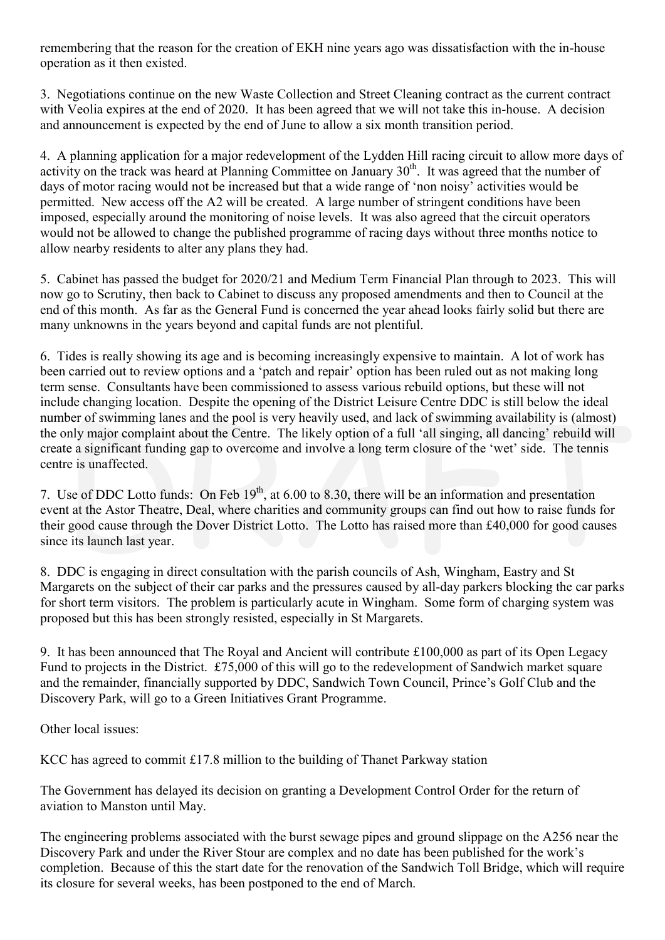remembering that the reason for the creation of EKH nine years ago was dissatisfaction with the in-house operation as it then existed.

3. Negotiations continue on the new Waste Collection and Street Cleaning contract as the current contract with Veolia expires at the end of 2020. It has been agreed that we will not take this in-house. A decision and announcement is expected by the end of June to allow a six month transition period.

4. A planning application for a major redevelopment of the Lydden Hill racing circuit to allow more days of activity on the track was heard at Planning Committee on January  $30<sup>th</sup>$ . It was agreed that the number of days of motor racing would not be increased but that a wide range of 'non noisy' activities would be permitted. New access off the A2 will be created. A large number of stringent conditions have been imposed, especially around the monitoring of noise levels. It was also agreed that the circuit operators would not be allowed to change the published programme of racing days without three months notice to allow nearby residents to alter any plans they had.

5. Cabinet has passed the budget for 2020/21 and Medium Term Financial Plan through to 2023. This will now go to Scrutiny, then back to Cabinet to discuss any proposed amendments and then to Council at the end of this month. As far as the General Fund is concerned the year ahead looks fairly solid but there are many unknowns in the years beyond and capital funds are not plentiful.

6. Tides is really showing its age and is becoming increasingly expensive to maintain. A lot of work has been carried out to review options and a 'patch and repair' option has been ruled out as not making long term sense. Consultants have been commissioned to assess various rebuild options, but these will not include changing location. Despite the opening of the District Leisure Centre DDC is still below the ideal number of swimming lanes and the pool is very heavily used, and lack of swimming availability is (almost) the only major complaint about the Centre. The likely option of a full 'all singing, all dancing' rebuild will create a significant funding gap to overcome and involve a long term closure of the 'wet' side. The tennis centre is unaffected.

7. Use of DDC Lotto funds: On Feb 19<sup>th</sup>, at 6.00 to 8.30, there will be an information and presentation event at the Astor Theatre, Deal, where charities and community groups can find out how to raise funds for their good cause through the Dover District Lotto. The Lotto has raised more than £40,000 for good causes since its launch last year.

8. DDC is engaging in direct consultation with the parish councils of Ash, Wingham, Eastry and St Margarets on the subject of their car parks and the pressures caused by all-day parkers blocking the car parks for short term visitors. The problem is particularly acute in Wingham. Some form of charging system was proposed but this has been strongly resisted, especially in St Margarets.

9. It has been announced that The Royal and Ancient will contribute £100,000 as part of its Open Legacy Fund to projects in the District. £75,000 of this will go to the redevelopment of Sandwich market square and the remainder, financially supported by DDC, Sandwich Town Council, Prince's Golf Club and the Discovery Park, will go to a Green Initiatives Grant Programme.

Other local issues:

KCC has agreed to commit £17.8 million to the building of Thanet Parkway station

The Government has delayed its decision on granting a Development Control Order for the return of aviation to Manston until May.

The engineering problems associated with the burst sewage pipes and ground slippage on the A256 near the Discovery Park and under the River Stour are complex and no date has been published for the work's completion. Because of this the start date for the renovation of the Sandwich Toll Bridge, which will require its closure for several weeks, has been postponed to the end of March.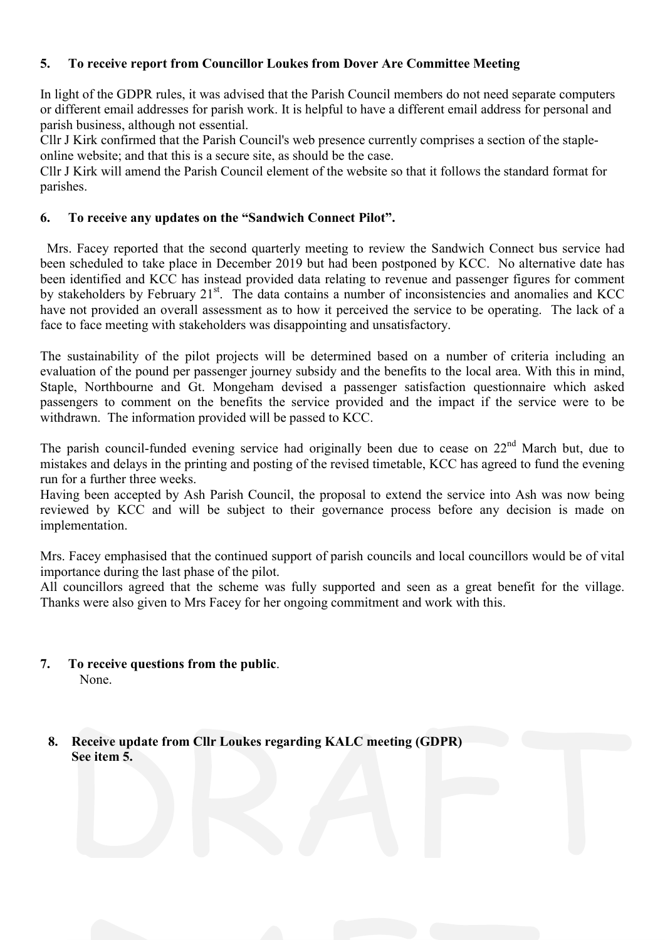# 5. To receive report from Councillor Loukes from Dover Are Committee Meeting

In light of the GDPR rules, it was advised that the Parish Council members do not need separate computers or different email addresses for parish work. It is helpful to have a different email address for personal and parish business, although not essential.

Cllr J Kirk confirmed that the Parish Council's web presence currently comprises a section of the stapleonline website; and that this is a secure site, as should be the case.

Cllr J Kirk will amend the Parish Council element of the website so that it follows the standard format for parishes.

## 6. To receive any updates on the "Sandwich Connect Pilot".

 Mrs. Facey reported that the second quarterly meeting to review the Sandwich Connect bus service had been scheduled to take place in December 2019 but had been postponed by KCC. No alternative date has been identified and KCC has instead provided data relating to revenue and passenger figures for comment by stakeholders by February 21<sup>st</sup>. The data contains a number of inconsistencies and anomalies and KCC have not provided an overall assessment as to how it perceived the service to be operating. The lack of a face to face meeting with stakeholders was disappointing and unsatisfactory.

The sustainability of the pilot projects will be determined based on a number of criteria including an evaluation of the pound per passenger journey subsidy and the benefits to the local area. With this in mind, Staple, Northbourne and Gt. Mongeham devised a passenger satisfaction questionnaire which asked passengers to comment on the benefits the service provided and the impact if the service were to be withdrawn. The information provided will be passed to KCC.

The parish council-funded evening service had originally been due to cease on  $22<sup>nd</sup>$  March but, due to mistakes and delays in the printing and posting of the revised timetable, KCC has agreed to fund the evening run for a further three weeks.

Having been accepted by Ash Parish Council, the proposal to extend the service into Ash was now being reviewed by KCC and will be subject to their governance process before any decision is made on implementation.

Mrs. Facey emphasised that the continued support of parish councils and local councillors would be of vital importance during the last phase of the pilot.

All councillors agreed that the scheme was fully supported and seen as a great benefit for the village. Thanks were also given to Mrs Facey for her ongoing commitment and work with this.

- 7. To receive questions from the public. None.
	- 8. Receive update from Cllr Loukes regarding KALC meeting (GDPR) See item 5.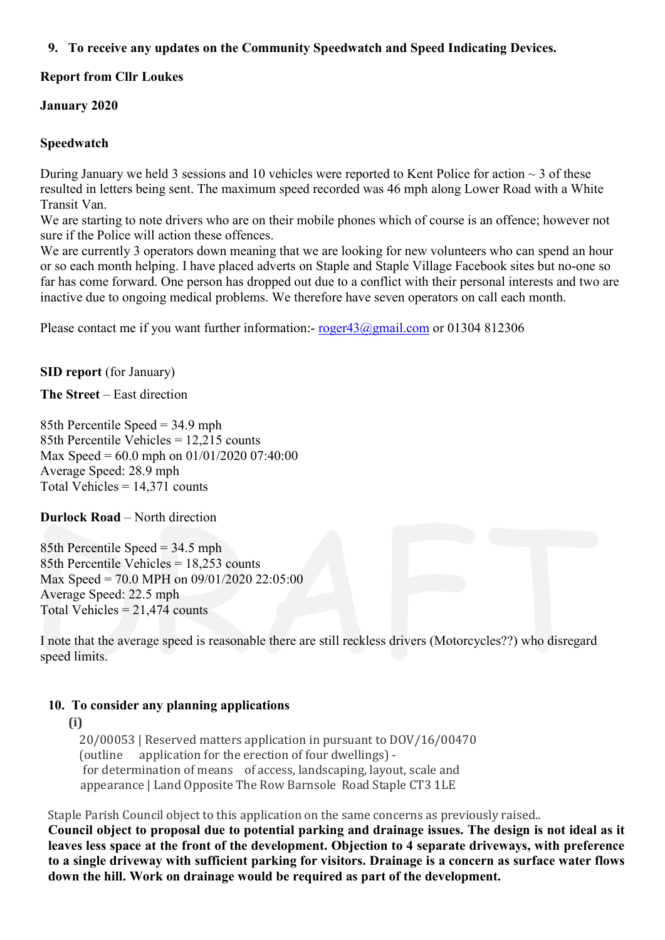# 9. To receive any updates on the Community Speedwatch and Speed Indicating Devices.

# Report from Cllr Loukes

## January 2020

## Speedwatch

During January we held 3 sessions and 10 vehicles were reported to Kent Police for action  $\sim$  3 of these resulted in letters being sent. The maximum speed recorded was 46 mph along Lower Road with a White Transit Van.

We are starting to note drivers who are on their mobile phones which of course is an offence; however not sure if the Police will action these offences.

We are currently 3 operators down meaning that we are looking for new volunteers who can spend an hour or so each month helping. I have placed adverts on Staple and Staple Village Facebook sites but no-one so far has come forward. One person has dropped out due to a conflict with their personal interests and two are inactive due to ongoing medical problems. We therefore have seven operators on call each month.

Please contact me if you want further information:- roger43@gmail.com or 01304 812306

SID report (for January)

The Street – East direction

85th Percentile Speed = 34.9 mph 85th Percentile Vehicles = 12,215 counts Max Speed = 60.0 mph on 01/01/2020 07:40:00 Average Speed: 28.9 mph Total Vehicles = 14,371 counts

# Durlock Road – North direction

85th Percentile Speed = 34.5 mph 85th Percentile Vehicles = 18,253 counts Max Speed = 70.0 MPH on 09/01/2020 22:05:00 Average Speed: 22.5 mph Total Vehicles  $= 21,474$  counts

I note that the average speed is reasonable there are still reckless drivers (Motorcycles??) who disregard speed limits.

# 10. To consider any planning applications

# (i)

 20/00053 | Reserved matters application in pursuant to DOV/16/00470 (outline application for the erection of four dwellings) for determination of means of access, landscaping, layout, scale and appearance | Land Opposite The Row Barnsole Road Staple CT3 1LE

Staple Parish Council object to this application on the same concerns as previously raised..

Council object to proposal due to potential parking and drainage issues. The design is not ideal as it leaves less space at the front of the development. Objection to 4 separate driveways, with preference to a single driveway with sufficient parking for visitors. Drainage is a concern as surface water flows down the hill. Work on drainage would be required as part of the development.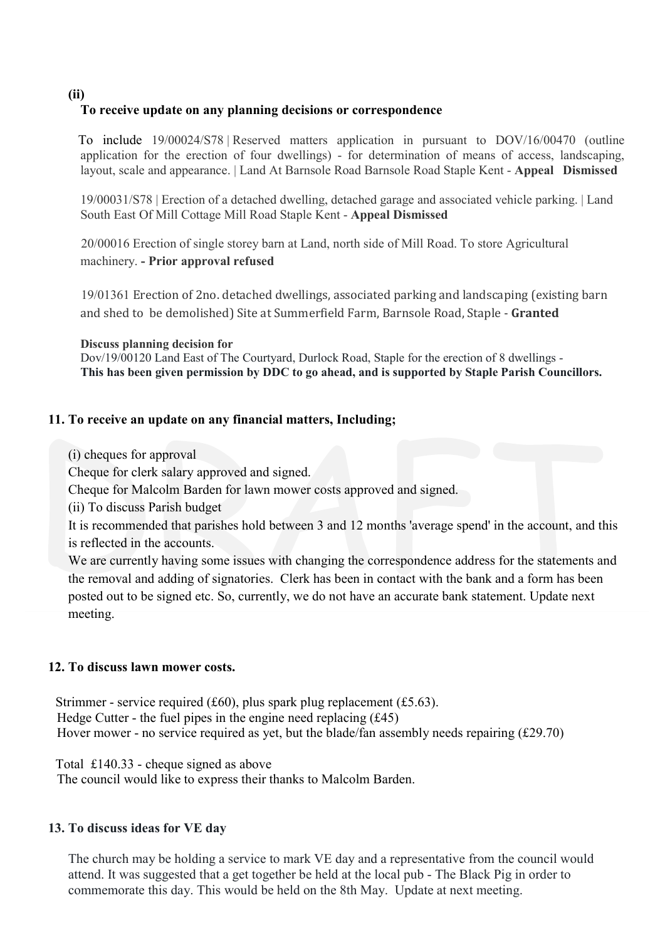(ii)

## To receive update on any planning decisions or correspondence

 To include 19/00024/S78 | Reserved matters application in pursuant to DOV/16/00470 (outline application for the erection of four dwellings) - for determination of means of access, landscaping, layout, scale and appearance. | Land At Barnsole Road Barnsole Road Staple Kent - Appeal Dismissed

19/00031/S78 | Erection of a detached dwelling, detached garage and associated vehicle parking. | Land South East Of Mill Cottage Mill Road Staple Kent - Appeal Dismissed

 20/00016 Erection of single storey barn at Land, north side of Mill Road. To store Agricultural machinery. - Prior approval refused

 19/01361 Erection of 2no. detached dwellings, associated parking and landscaping (existing barn and shed to be demolished) Site at Summerfield Farm, Barnsole Road, Staple - Granted

#### Discuss planning decision for

Dov/19/00120 Land East of The Courtyard, Durlock Road, Staple for the erection of 8 dwellings - This has been given permission by DDC to go ahead, and is supported by Staple Parish Councillors.

#### 11. To receive an update on any financial matters, Including;

(i) cheques for approval

Cheque for clerk salary approved and signed.

Cheque for Malcolm Barden for lawn mower costs approved and signed.

(ii) To discuss Parish budget

It is recommended that parishes hold between 3 and 12 months 'average spend' in the account, and this is reflected in the accounts.

We are currently having some issues with changing the correspondence address for the statements and the removal and adding of signatories. Clerk has been in contact with the bank and a form has been posted out to be signed etc. So, currently, we do not have an accurate bank statement. Update next meeting.

#### 12. To discuss lawn mower costs.

Strimmer - service required (£60), plus spark plug replacement (£5.63). Hedge Cutter - the fuel pipes in the engine need replacing  $(f45)$ Hover mower - no service required as yet, but the blade/fan assembly needs repairing (£29.70)

Total £140.33 - cheque signed as above

The council would like to express their thanks to Malcolm Barden.

#### 13. To discuss ideas for VE day

The church may be holding a service to mark VE day and a representative from the council would attend. It was suggested that a get together be held at the local pub - The Black Pig in order to commemorate this day. This would be held on the 8th May. Update at next meeting.